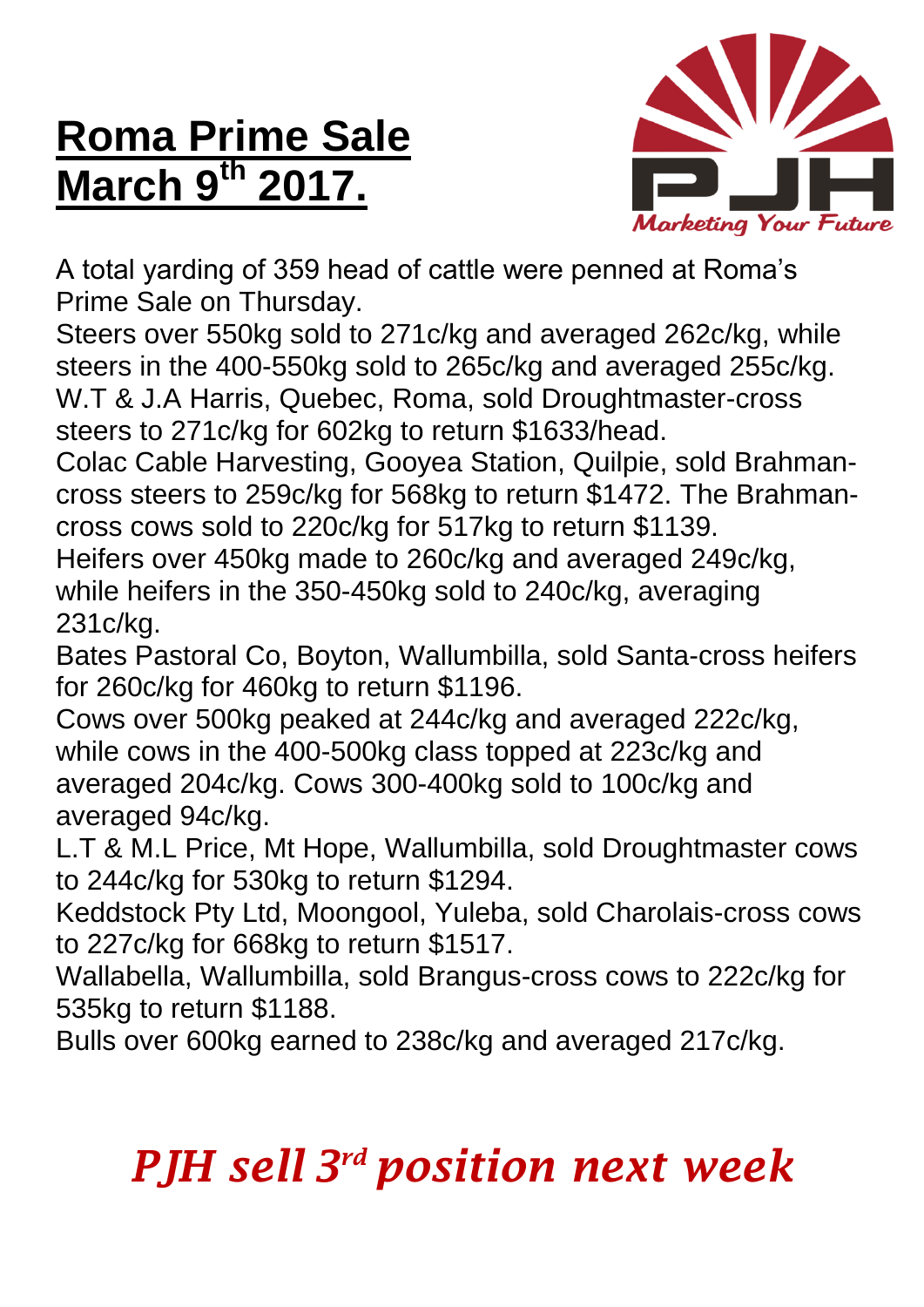## **Roma Prime Sale March 9 th 2017.**



A total yarding of 359 head of cattle were penned at Roma's Prime Sale on Thursday.

Steers over 550kg sold to 271c/kg and averaged 262c/kg, while steers in the 400-550kg sold to 265c/kg and averaged 255c/kg. W.T & J.A Harris, Quebec, Roma, sold Droughtmaster-cross steers to 271c/kg for 602kg to return \$1633/head.

Colac Cable Harvesting, Gooyea Station, Quilpie, sold Brahmancross steers to 259c/kg for 568kg to return \$1472. The Brahmancross cows sold to 220c/kg for 517kg to return \$1139.

Heifers over 450kg made to 260c/kg and averaged 249c/kg, while heifers in the 350-450kg sold to 240c/kg, averaging 231c/kg.

Bates Pastoral Co, Boyton, Wallumbilla, sold Santa-cross heifers for 260c/kg for 460kg to return \$1196.

Cows over 500kg peaked at 244c/kg and averaged 222c/kg, while cows in the 400-500kg class topped at 223c/kg and averaged 204c/kg. Cows 300-400kg sold to 100c/kg and averaged 94c/kg.

L.T & M.L Price, Mt Hope, Wallumbilla, sold Droughtmaster cows to 244c/kg for 530kg to return \$1294.

Keddstock Pty Ltd, Moongool, Yuleba, sold Charolais-cross cows to 227c/kg for 668kg to return \$1517.

Wallabella, Wallumbilla, sold Brangus-cross cows to 222c/kg for 535kg to return \$1188.

Bulls over 600kg earned to 238c/kg and averaged 217c/kg.

## *PJH sell 3 rd position next week*